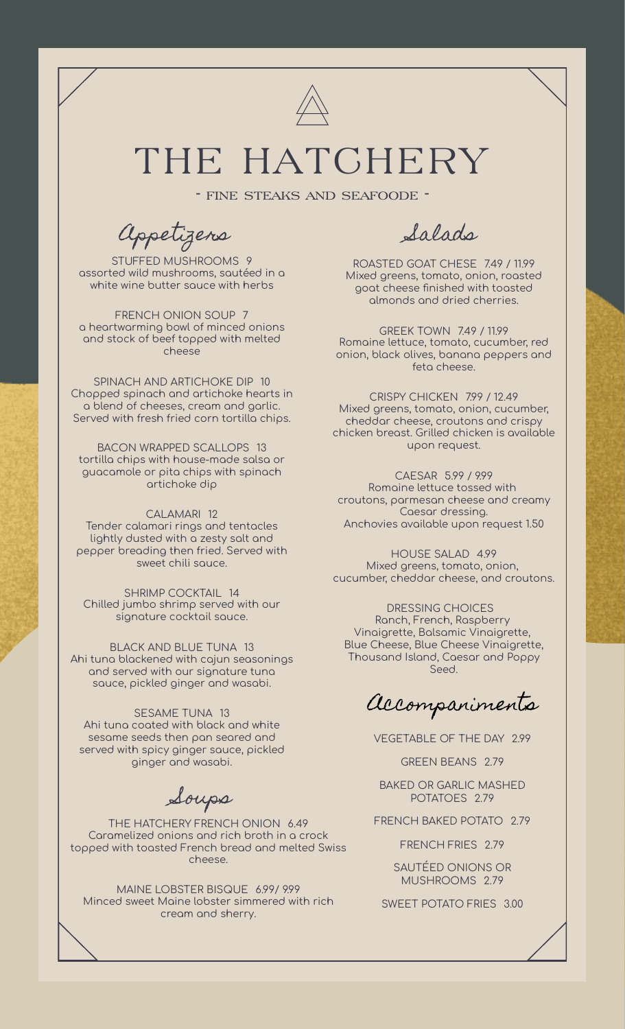

## THE HATCHERY

- fine steaks and seafoode -

Appetizers

STUFFED MUSHROOMS 9 assorted wild mushrooms, sautéed in a white wine butter sauce with herbs

FRENCH ONION SOUP 7 a heartwarming bowl of minced onions and stock of beef topped with melted cheese

SPINACH AND ARTICHOKE DIP 10 Chopped spinach and artichoke hearts in a blend of cheeses, cream and garlic. Served with fresh fried corn tortilla chips.

BACON WRAPPED SCALLOPS 13 tortilla chips with house-made salsa or guacamole or pita chips with spinach artichoke dip

CALAMARI 12 Tender calamari rings and tentacles lightly dusted with a zesty salt and pepper breading then fried. Served with sweet chili sauce.

SHRIMP COCKTAIL 14 Chilled jumbo shrimp served with our signature cocktail sauce.

BLACK AND BLUE TUNA 13 Ahi tuna blackened with cajun seasonings and served with our signature tuna sauce, pickled ginger and wasabi.

SESAME TUNA 13 Ahi tuna coated with black and white sesame seeds then pan seared and served with spicy ginger sauce, pickled ginger and wasabi.

Soups

THE HATCHERY FRENCH ONION 6.49 Caramelized onions and rich broth in a crock topped with toasted French bread and melted Swiss cheese.

MAINE LOBSTER BISQUE 6.99/ 9.99 Minced sweet Maine lobster simmered with rich cream and sherry.

Salads

ROASTED GOAT CHESE 7.49 / 11.99 Mixed greens, tomato, onion, roasted goat cheese finished with toasted almonds and dried cherries.

GREEK TOWN 7.49 / 11.99 Romaine lettuce, tomato, cucumber, red onion, black olives, banana peppers and feta cheese.

CRISPY CHICKEN 7.99 / 12.49 Mixed greens, tomato, onion, cucumber, cheddar cheese, croutons and crispy chicken breast. Grilled chicken is available upon request.

CAESAR 5.99 / 9.99 Romaine lettuce tossed with croutons, parmesan cheese and creamy Caesar dressing. Anchovies available upon request 1.50

HOUSE SALAD 4.99 Mixed greens, tomato, onion, cucumber, cheddar cheese, and croutons.

DRESSING CHOICES Ranch, French, Raspberry Vinaigrette, Balsamic Vinaigrette, Blue Cheese, Blue Cheese Vinaigrette, Thousand Island, Caesar and Poppy Seed.

Accompaniments

VEGETABLE OF THE DAY 2.99

GREEN BEANS 2.79

BAKED OR GARLIC MASHED POTATOES 2.79

FRENCH BAKED POTATO 2.79

FRENCH FRIES 2.79

SAUTÉED ONIONS OR MUSHROOMS 2.79

SWEET POTATO FRIES 3.00